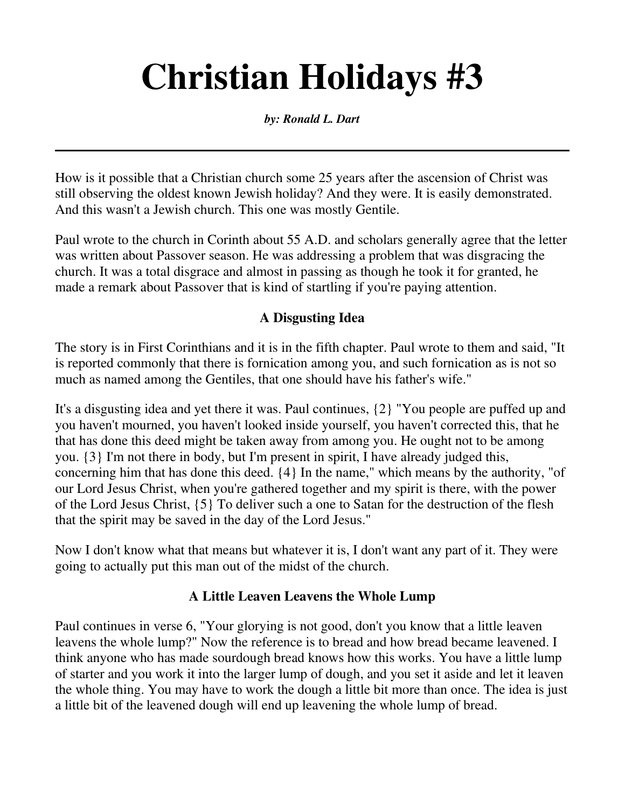# **Christian Holidays #3**

#### *by: Ronald L. Dart*

How is it possible that a Christian church some 25 years after the ascension of Christ was still observing the oldest known Jewish holiday? And they were. It is easily demonstrated. And this wasn't a Jewish church. This one was mostly Gentile.

Paul wrote to the church in Corinth about 55 A.D. and scholars generally agree that the letter was written about Passover season. He was addressing a problem that was disgracing the church. It was a total disgrace and almost in passing as though he took it for granted, he made a remark about Passover that is kind of startling if you're paying attention.

#### **A Disgusting Idea**

The story is in First Corinthians and it is in the fifth chapter. Paul wrote to them and said, "It is reported commonly that there is fornication among you, and such fornication as is not so much as named among the Gentiles, that one should have his father's wife."

It's a disgusting idea and yet there it was. Paul continues, {2} "You people are puffed up and you haven't mourned, you haven't looked inside yourself, you haven't corrected this, that he that has done this deed might be taken away from among you. He ought not to be among you. {3} I'm not there in body, but I'm present in spirit, I have already judged this, concerning him that has done this deed. {4} In the name," which means by the authority, "of our Lord Jesus Christ, when you're gathered together and my spirit is there, with the power of the Lord Jesus Christ, {5} To deliver such a one to Satan for the destruction of the flesh that the spirit may be saved in the day of the Lord Jesus."

Now I don't know what that means but whatever it is, I don't want any part of it. They were going to actually put this man out of the midst of the church.

#### **A Little Leaven Leavens the Whole Lump**

Paul continues in verse 6, "Your glorying is not good, don't you know that a little leaven leavens the whole lump?" Now the reference is to bread and how bread became leavened. I think anyone who has made sourdough bread knows how this works. You have a little lump of starter and you work it into the larger lump of dough, and you set it aside and let it leaven the whole thing. You may have to work the dough a little bit more than once. The idea is just a little bit of the leavened dough will end up leavening the whole lump of bread.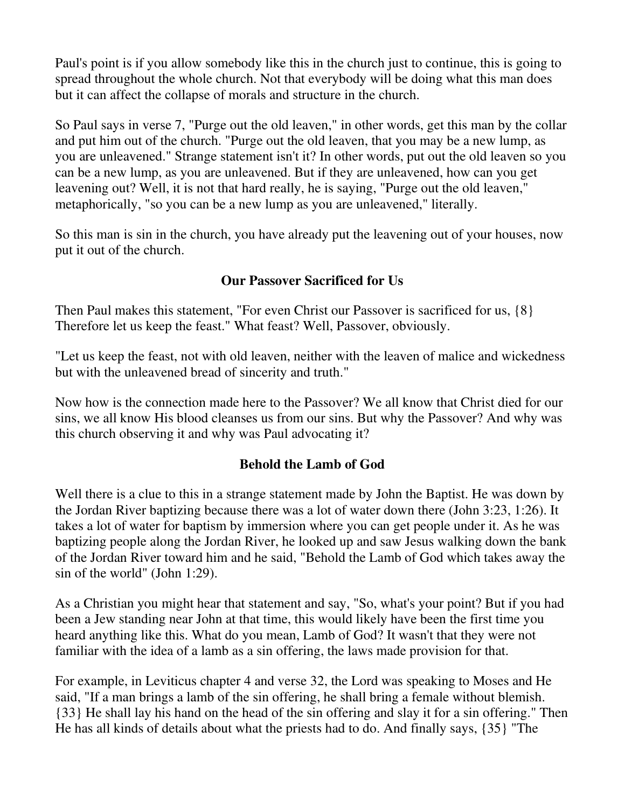Paul's point is if you allow somebody like this in the church just to continue, this is going to spread throughout the whole church. Not that everybody will be doing what this man does but it can affect the collapse of morals and structure in the church.

So Paul says in verse 7, "Purge out the old leaven," in other words, get this man by the collar and put him out of the church. "Purge out the old leaven, that you may be a new lump, as you are unleavened." Strange statement isn't it? In other words, put out the old leaven so you can be a new lump, as you are unleavened. But if they are unleavened, how can you get leavening out? Well, it is not that hard really, he is saying, "Purge out the old leaven," metaphorically, "so you can be a new lump as you are unleavened," literally.

So this man is sin in the church, you have already put the leavening out of your houses, now put it out of the church.

## **Our Passover Sacrificed for Us**

Then Paul makes this statement, "For even Christ our Passover is sacrificed for us, {8} Therefore let us keep the feast." What feast? Well, Passover, obviously.

"Let us keep the feast, not with old leaven, neither with the leaven of malice and wickedness but with the unleavened bread of sincerity and truth."

Now how is the connection made here to the Passover? We all know that Christ died for our sins, we all know His blood cleanses us from our sins. But why the Passover? And why was this church observing it and why was Paul advocating it?

## **Behold the Lamb of God**

Well there is a clue to this in a strange statement made by John the Baptist. He was down by the Jordan River baptizing because there was a lot of water down there (John 3:23, 1:26). It takes a lot of water for baptism by immersion where you can get people under it. As he was baptizing people along the Jordan River, he looked up and saw Jesus walking down the bank of the Jordan River toward him and he said, "Behold the Lamb of God which takes away the sin of the world" (John 1:29).

As a Christian you might hear that statement and say, "So, what's your point? But if you had been a Jew standing near John at that time, this would likely have been the first time you heard anything like this. What do you mean, Lamb of God? It wasn't that they were not familiar with the idea of a lamb as a sin offering, the laws made provision for that.

For example, in Leviticus chapter 4 and verse 32, the Lord was speaking to Moses and He said, "If a man brings a lamb of the sin offering, he shall bring a female without blemish. {33} He shall lay his hand on the head of the sin offering and slay it for a sin offering." Then He has all kinds of details about what the priests had to do. And finally says, {35} "The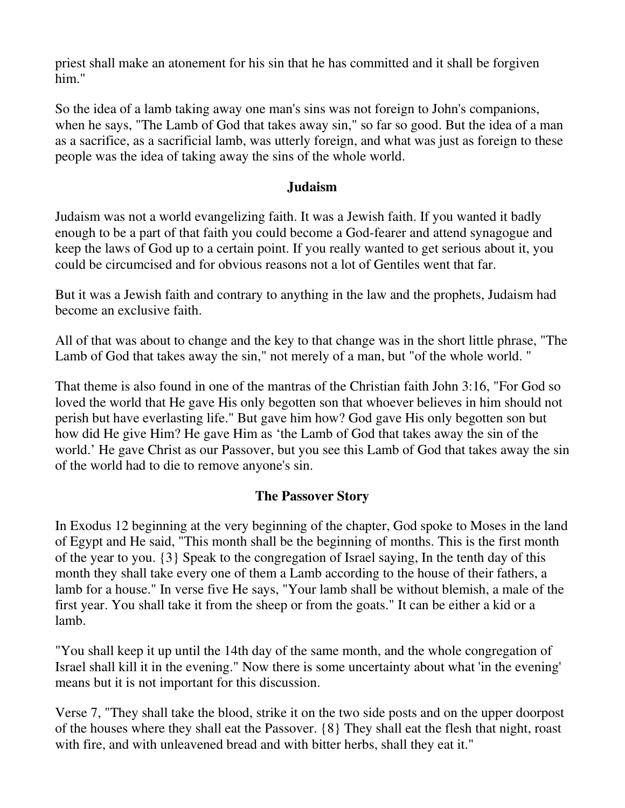priest shall make an atonement for his sin that he has committed and it shall be forgiven him."

So the idea of a lamb taking away one man's sins was not foreign to John's companions, when he says, "The Lamb of God that takes away sin," so far so good. But the idea of a man as a sacrifice, as a sacrificial lamb, was utterly foreign, and what was just as foreign to these people was the idea of taking away the sins of the whole world.

#### **Judaism**

Judaism was not a world evangelizing faith. It was a Jewish faith. If you wanted it badly enough to be a part of that faith you could become a God-fearer and attend synagogue and keep the laws of God up to a certain point. If you really wanted to get serious about it, you could be circumcised and for obvious reasons not a lot of Gentiles went that far.

But it was a Jewish faith and contrary to anything in the law and the prophets, Judaism had become an exclusive faith.

All of that was about to change and the key to that change was in the short little phrase, "The Lamb of God that takes away the sin," not merely of a man, but "of the whole world. "

That theme is also found in one of the mantras of the Christian faith John 3:16, "For God so loved the world that He gave His only begotten son that whoever believes in him should not perish but have everlasting life." But gave him how? God gave His only begotten son but how did He give Him? He gave Him as 'the Lamb of God that takes away the sin of the world.' He gave Christ as our Passover, but you see this Lamb of God that takes away the sin of the world had to die to remove anyone's sin.

#### **The Passover Story**

In Exodus 12 beginning at the very beginning of the chapter, God spoke to Moses in the land of Egypt and He said, "This month shall be the beginning of months. This is the first month of the year to you. {3} Speak to the congregation of Israel saying, In the tenth day of this month they shall take every one of them a Lamb according to the house of their fathers, a lamb for a house." In verse five He says, "Your lamb shall be without blemish, a male of the first year. You shall take it from the sheep or from the goats." It can be either a kid or a lamb.

"You shall keep it up until the 14th day of the same month, and the whole congregation of Israel shall kill it in the evening." Now there is some uncertainty about what 'in the evening' means but it is not important for this discussion.

Verse 7, "They shall take the blood, strike it on the two side posts and on the upper doorpost of the houses where they shall eat the Passover. {8} They shall eat the flesh that night, roast with fire, and with unleavened bread and with bitter herbs, shall they eat it."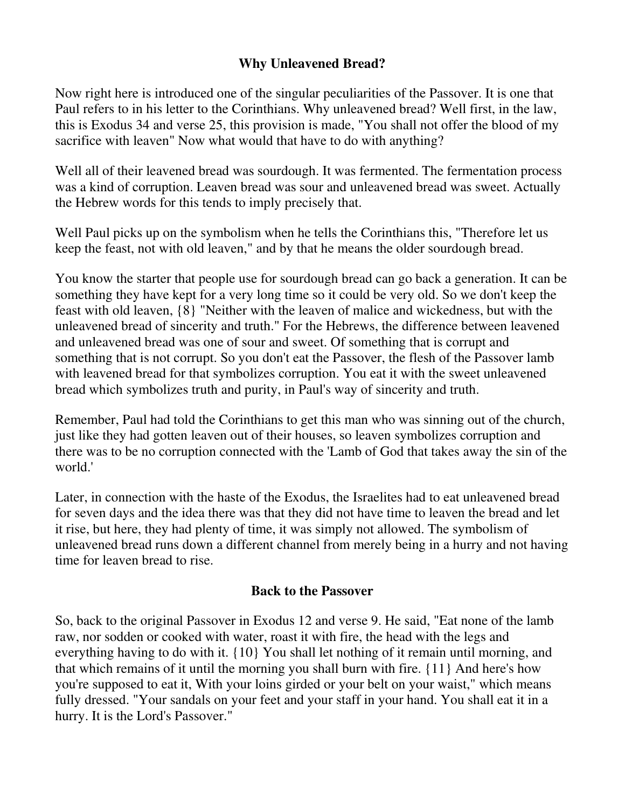### **Why Unleavened Bread?**

Now right here is introduced one of the singular peculiarities of the Passover. It is one that Paul refers to in his letter to the Corinthians. Why unleavened bread? Well first, in the law, this is Exodus 34 and verse 25, this provision is made, "You shall not offer the blood of my sacrifice with leaven" Now what would that have to do with anything?

Well all of their leavened bread was sourdough. It was fermented. The fermentation process was a kind of corruption. Leaven bread was sour and unleavened bread was sweet. Actually the Hebrew words for this tends to imply precisely that.

Well Paul picks up on the symbolism when he tells the Corinthians this, "Therefore let us keep the feast, not with old leaven," and by that he means the older sourdough bread.

You know the starter that people use for sourdough bread can go back a generation. It can be something they have kept for a very long time so it could be very old. So we don't keep the feast with old leaven, {8} "Neither with the leaven of malice and wickedness, but with the unleavened bread of sincerity and truth." For the Hebrews, the difference between leavened and unleavened bread was one of sour and sweet. Of something that is corrupt and something that is not corrupt. So you don't eat the Passover, the flesh of the Passover lamb with leavened bread for that symbolizes corruption. You eat it with the sweet unleavened bread which symbolizes truth and purity, in Paul's way of sincerity and truth.

Remember, Paul had told the Corinthians to get this man who was sinning out of the church, just like they had gotten leaven out of their houses, so leaven symbolizes corruption and there was to be no corruption connected with the 'Lamb of God that takes away the sin of the world.'

Later, in connection with the haste of the Exodus, the Israelites had to eat unleavened bread for seven days and the idea there was that they did not have time to leaven the bread and let it rise, but here, they had plenty of time, it was simply not allowed. The symbolism of unleavened bread runs down a different channel from merely being in a hurry and not having time for leaven bread to rise.

#### **Back to the Passover**

So, back to the original Passover in Exodus 12 and verse 9. He said, "Eat none of the lamb raw, nor sodden or cooked with water, roast it with fire, the head with the legs and everything having to do with it. {10} You shall let nothing of it remain until morning, and that which remains of it until the morning you shall burn with fire. {11} And here's how you're supposed to eat it, With your loins girded or your belt on your waist," which means fully dressed. "Your sandals on your feet and your staff in your hand. You shall eat it in a hurry. It is the Lord's Passover."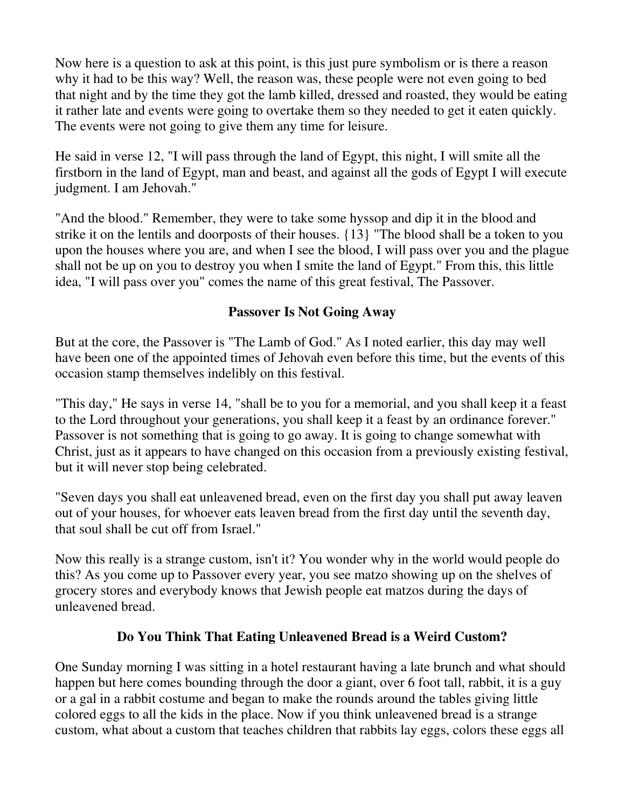Now here is a question to ask at this point, is this just pure symbolism or is there a reason why it had to be this way? Well, the reason was, these people were not even going to bed that night and by the time they got the lamb killed, dressed and roasted, they would be eating it rather late and events were going to overtake them so they needed to get it eaten quickly. The events were not going to give them any time for leisure.

He said in verse 12, "I will pass through the land of Egypt, this night, I will smite all the firstborn in the land of Egypt, man and beast, and against all the gods of Egypt I will execute judgment. I am Jehovah."

"And the blood." Remember, they were to take some hyssop and dip it in the blood and strike it on the lentils and doorposts of their houses. {13} "The blood shall be a token to you upon the houses where you are, and when I see the blood, I will pass over you and the plague shall not be up on you to destroy you when I smite the land of Egypt." From this, this little idea, "I will pass over you" comes the name of this great festival, The Passover.

## **Passover Is Not Going Away**

But at the core, the Passover is "The Lamb of God." As I noted earlier, this day may well have been one of the appointed times of Jehovah even before this time, but the events of this occasion stamp themselves indelibly on this festival.

"This day," He says in verse 14, "shall be to you for a memorial, and you shall keep it a feast to the Lord throughout your generations, you shall keep it a feast by an ordinance forever." Passover is not something that is going to go away. It is going to change somewhat with Christ, just as it appears to have changed on this occasion from a previously existing festival, but it will never stop being celebrated.

"Seven days you shall eat unleavened bread, even on the first day you shall put away leaven out of your houses, for whoever eats leaven bread from the first day until the seventh day, that soul shall be cut off from Israel."

Now this really is a strange custom, isn't it? You wonder why in the world would people do this? As you come up to Passover every year, you see matzo showing up on the shelves of grocery stores and everybody knows that Jewish people eat matzos during the days of unleavened bread.

## **Do You Think That Eating Unleavened Bread is a Weird Custom?**

One Sunday morning I was sitting in a hotel restaurant having a late brunch and what should happen but here comes bounding through the door a giant, over 6 foot tall, rabbit, it is a guy or a gal in a rabbit costume and began to make the rounds around the tables giving little colored eggs to all the kids in the place. Now if you think unleavened bread is a strange custom, what about a custom that teaches children that rabbits lay eggs, colors these eggs all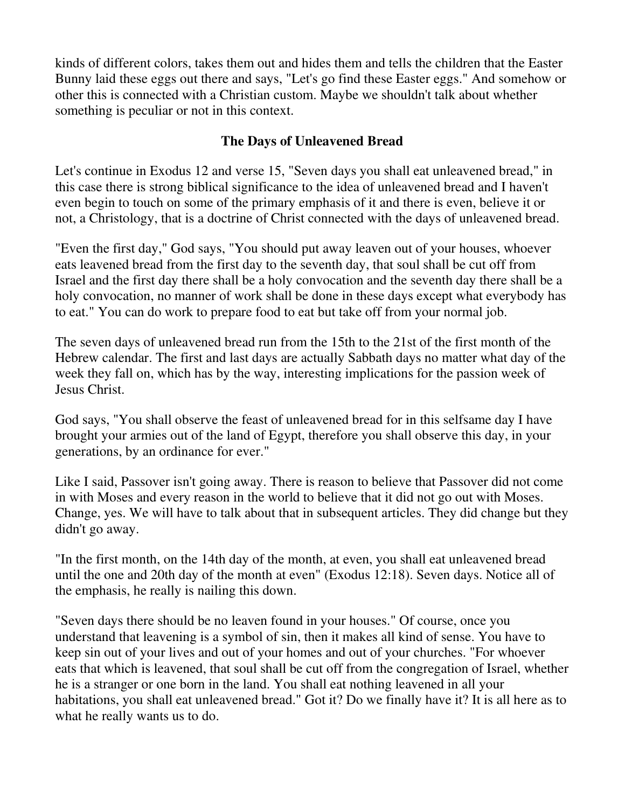kinds of different colors, takes them out and hides them and tells the children that the Easter Bunny laid these eggs out there and says, "Let's go find these Easter eggs." And somehow or other this is connected with a Christian custom. Maybe we shouldn't talk about whether something is peculiar or not in this context.

## **The Days of Unleavened Bread**

Let's continue in Exodus 12 and verse 15, "Seven days you shall eat unleavened bread," in this case there is strong biblical significance to the idea of unleavened bread and I haven't even begin to touch on some of the primary emphasis of it and there is even, believe it or not, a Christology, that is a doctrine of Christ connected with the days of unleavened bread.

"Even the first day," God says, "You should put away leaven out of your houses, whoever eats leavened bread from the first day to the seventh day, that soul shall be cut off from Israel and the first day there shall be a holy convocation and the seventh day there shall be a holy convocation, no manner of work shall be done in these days except what everybody has to eat." You can do work to prepare food to eat but take off from your normal job.

The seven days of unleavened bread run from the 15th to the 21st of the first month of the Hebrew calendar. The first and last days are actually Sabbath days no matter what day of the week they fall on, which has by the way, interesting implications for the passion week of Jesus Christ.

God says, "You shall observe the feast of unleavened bread for in this selfsame day I have brought your armies out of the land of Egypt, therefore you shall observe this day, in your generations, by an ordinance for ever."

Like I said, Passover isn't going away. There is reason to believe that Passover did not come in with Moses and every reason in the world to believe that it did not go out with Moses. Change, yes. We will have to talk about that in subsequent articles. They did change but they didn't go away.

"In the first month, on the 14th day of the month, at even, you shall eat unleavened bread until the one and 20th day of the month at even" (Exodus 12:18). Seven days. Notice all of the emphasis, he really is nailing this down.

"Seven days there should be no leaven found in your houses." Of course, once you understand that leavening is a symbol of sin, then it makes all kind of sense. You have to keep sin out of your lives and out of your homes and out of your churches. "For whoever eats that which is leavened, that soul shall be cut off from the congregation of Israel, whether he is a stranger or one born in the land. You shall eat nothing leavened in all your habitations, you shall eat unleavened bread." Got it? Do we finally have it? It is all here as to what he really wants us to do.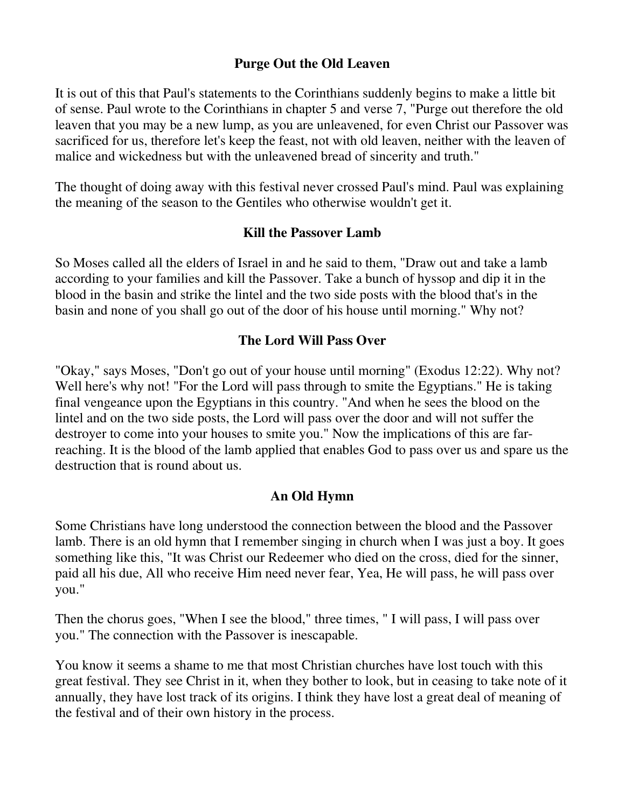#### **Purge Out the Old Leaven**

It is out of this that Paul's statements to the Corinthians suddenly begins to make a little bit of sense. Paul wrote to the Corinthians in chapter 5 and verse 7, "Purge out therefore the old leaven that you may be a new lump, as you are unleavened, for even Christ our Passover was sacrificed for us, therefore let's keep the feast, not with old leaven, neither with the leaven of malice and wickedness but with the unleavened bread of sincerity and truth."

The thought of doing away with this festival never crossed Paul's mind. Paul was explaining the meaning of the season to the Gentiles who otherwise wouldn't get it.

#### **Kill the Passover Lamb**

So Moses called all the elders of Israel in and he said to them, "Draw out and take a lamb according to your families and kill the Passover. Take a bunch of hyssop and dip it in the blood in the basin and strike the lintel and the two side posts with the blood that's in the basin and none of you shall go out of the door of his house until morning." Why not?

#### **The Lord Will Pass Over**

"Okay," says Moses, "Don't go out of your house until morning" (Exodus 12:22). Why not? Well here's why not! "For the Lord will pass through to smite the Egyptians." He is taking final vengeance upon the Egyptians in this country. "And when he sees the blood on the lintel and on the two side posts, the Lord will pass over the door and will not suffer the destroyer to come into your houses to smite you." Now the implications of this are farreaching. It is the blood of the lamb applied that enables God to pass over us and spare us the destruction that is round about us.

#### **An Old Hymn**

Some Christians have long understood the connection between the blood and the Passover lamb. There is an old hymn that I remember singing in church when I was just a boy. It goes something like this, "It was Christ our Redeemer who died on the cross, died for the sinner, paid all his due, All who receive Him need never fear, Yea, He will pass, he will pass over you."

Then the chorus goes, "When I see the blood," three times, " I will pass, I will pass over you." The connection with the Passover is inescapable.

You know it seems a shame to me that most Christian churches have lost touch with this great festival. They see Christ in it, when they bother to look, but in ceasing to take note of it annually, they have lost track of its origins. I think they have lost a great deal of meaning of the festival and of their own history in the process.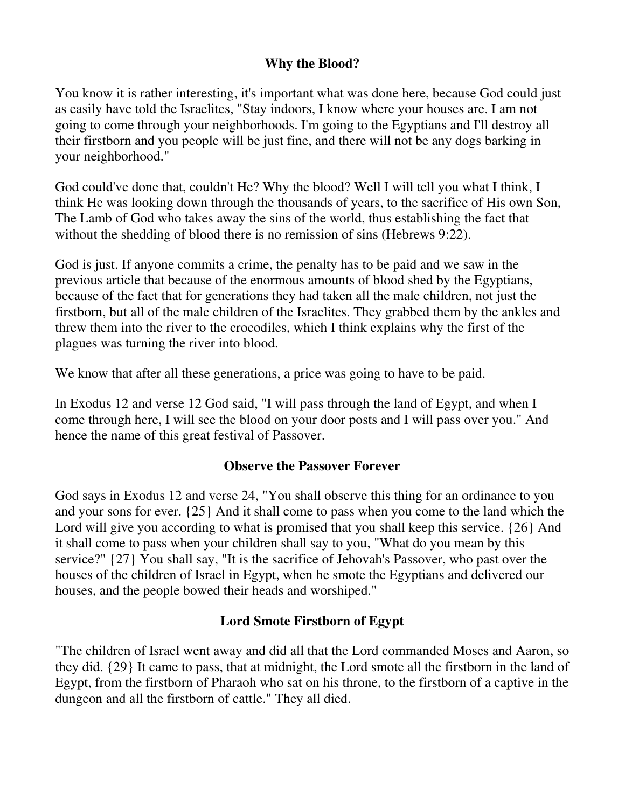### **Why the Blood?**

You know it is rather interesting, it's important what was done here, because God could just as easily have told the Israelites, "Stay indoors, I know where your houses are. I am not going to come through your neighborhoods. I'm going to the Egyptians and I'll destroy all their firstborn and you people will be just fine, and there will not be any dogs barking in your neighborhood."

God could've done that, couldn't He? Why the blood? Well I will tell you what I think, I think He was looking down through the thousands of years, to the sacrifice of His own Son, The Lamb of God who takes away the sins of the world, thus establishing the fact that without the shedding of blood there is no remission of sins (Hebrews 9:22).

God is just. If anyone commits a crime, the penalty has to be paid and we saw in the previous article that because of the enormous amounts of blood shed by the Egyptians, because of the fact that for generations they had taken all the male children, not just the firstborn, but all of the male children of the Israelites. They grabbed them by the ankles and threw them into the river to the crocodiles, which I think explains why the first of the plagues was turning the river into blood.

We know that after all these generations, a price was going to have to be paid.

In Exodus 12 and verse 12 God said, "I will pass through the land of Egypt, and when I come through here, I will see the blood on your door posts and I will pass over you." And hence the name of this great festival of Passover.

## **Observe the Passover Forever**

God says in Exodus 12 and verse 24, "You shall observe this thing for an ordinance to you and your sons for ever. {25} And it shall come to pass when you come to the land which the Lord will give you according to what is promised that you shall keep this service. {26} And it shall come to pass when your children shall say to you, "What do you mean by this service?" {27} You shall say, "It is the sacrifice of Jehovah's Passover, who past over the houses of the children of Israel in Egypt, when he smote the Egyptians and delivered our houses, and the people bowed their heads and worshiped."

## **Lord Smote Firstborn of Egypt**

"The children of Israel went away and did all that the Lord commanded Moses and Aaron, so they did. {29} It came to pass, that at midnight, the Lord smote all the firstborn in the land of Egypt, from the firstborn of Pharaoh who sat on his throne, to the firstborn of a captive in the dungeon and all the firstborn of cattle." They all died.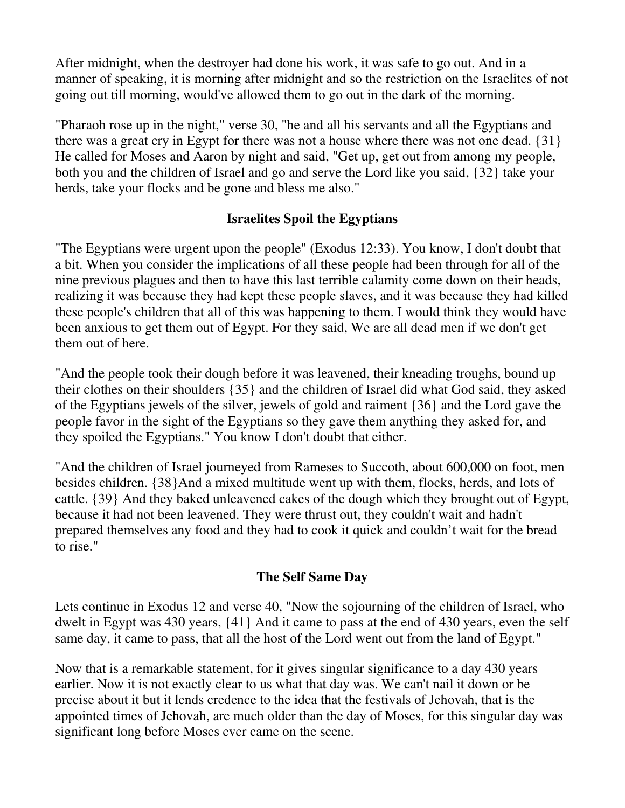After midnight, when the destroyer had done his work, it was safe to go out. And in a manner of speaking, it is morning after midnight and so the restriction on the Israelites of not going out till morning, would've allowed them to go out in the dark of the morning.

"Pharaoh rose up in the night," verse 30, "he and all his servants and all the Egyptians and there was a great cry in Egypt for there was not a house where there was not one dead. {31} He called for Moses and Aaron by night and said, "Get up, get out from among my people, both you and the children of Israel and go and serve the Lord like you said, {32} take your herds, take your flocks and be gone and bless me also."

## **Israelites Spoil the Egyptians**

"The Egyptians were urgent upon the people" (Exodus 12:33). You know, I don't doubt that a bit. When you consider the implications of all these people had been through for all of the nine previous plagues and then to have this last terrible calamity come down on their heads, realizing it was because they had kept these people slaves, and it was because they had killed these people's children that all of this was happening to them. I would think they would have been anxious to get them out of Egypt. For they said, We are all dead men if we don't get them out of here.

"And the people took their dough before it was leavened, their kneading troughs, bound up their clothes on their shoulders {35} and the children of Israel did what God said, they asked of the Egyptians jewels of the silver, jewels of gold and raiment {36} and the Lord gave the people favor in the sight of the Egyptians so they gave them anything they asked for, and they spoiled the Egyptians." You know I don't doubt that either.

"And the children of Israel journeyed from Rameses to Succoth, about 600,000 on foot, men besides children. {38}And a mixed multitude went up with them, flocks, herds, and lots of cattle. {39} And they baked unleavened cakes of the dough which they brought out of Egypt, because it had not been leavened. They were thrust out, they couldn't wait and hadn't prepared themselves any food and they had to cook it quick and couldn't wait for the bread to rise."

## **The Self Same Day**

Lets continue in Exodus 12 and verse 40, "Now the sojourning of the children of Israel, who dwelt in Egypt was 430 years, {41} And it came to pass at the end of 430 years, even the self same day, it came to pass, that all the host of the Lord went out from the land of Egypt."

Now that is a remarkable statement, for it gives singular significance to a day 430 years earlier. Now it is not exactly clear to us what that day was. We can't nail it down or be precise about it but it lends credence to the idea that the festivals of Jehovah, that is the appointed times of Jehovah, are much older than the day of Moses, for this singular day was significant long before Moses ever came on the scene.